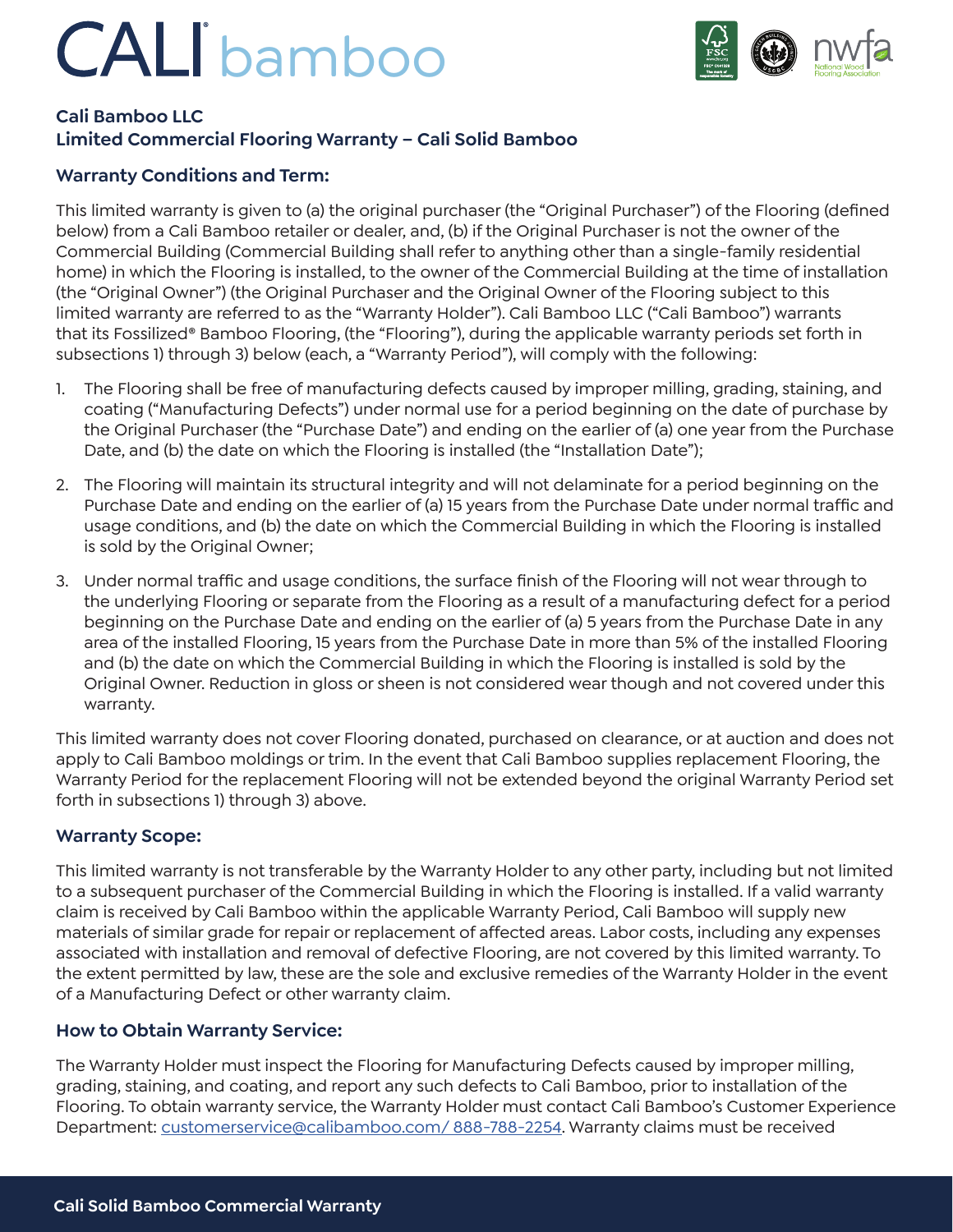## CALI bamboo



### **Cali Bamboo LLC**

### **Limited Commercial Flooring Warranty – Cali Solid Bamboo**

#### **Warranty Conditions and Term:**

This limited warranty is given to (a) the original purchaser (the "Original Purchaser") of the Flooring (defined below) from a Cali Bamboo retailer or dealer, and, (b) if the Original Purchaser is not the owner of the Commercial Building (Commercial Building shall refer to anything other than a single-family residential home) in which the Flooring is installed, to the owner of the Commercial Building at the time of installation (the "Original Owner") (the Original Purchaser and the Original Owner of the Flooring subject to this limited warranty are referred to as the "Warranty Holder"). Cali Bamboo LLC ("Cali Bamboo") warrants that its Fossilized® Bamboo Flooring, (the "Flooring"), during the applicable warranty periods set forth in subsections 1) through 3) below (each, a "Warranty Period"), will comply with the following:

- 1. The Flooring shall be free of manufacturing defects caused by improper milling, grading, staining, and coating ("Manufacturing Defects") under normal use for a period beginning on the date of purchase by the Original Purchaser (the "Purchase Date") and ending on the earlier of (a) one year from the Purchase Date, and (b) the date on which the Flooring is installed (the "Installation Date");
- 2. The Flooring will maintain its structural integrity and will not delaminate for a period beginning on the Purchase Date and ending on the earlier of (a) 15 years from the Purchase Date under normal traffic and usage conditions, and (b) the date on which the Commercial Building in which the Flooring is installed is sold by the Original Owner;
- 3. Under normal traffic and usage conditions, the surface finish of the Flooring will not wear through to the underlying Flooring or separate from the Flooring as a result of a manufacturing defect for a period beginning on the Purchase Date and ending on the earlier of (a) 5 years from the Purchase Date in any area of the installed Flooring, 15 years from the Purchase Date in more than 5% of the installed Flooring and (b) the date on which the Commercial Building in which the Flooring is installed is sold by the Original Owner. Reduction in gloss or sheen is not considered wear though and not covered under this warranty.

This limited warranty does not cover Flooring donated, purchased on clearance, or at auction and does not apply to Cali Bamboo moldings or trim. In the event that Cali Bamboo supplies replacement Flooring, the Warranty Period for the replacement Flooring will not be extended beyond the original Warranty Period set forth in subsections 1) through 3) above.

#### **Warranty Scope:**

This limited warranty is not transferable by the Warranty Holder to any other party, including but not limited to a subsequent purchaser of the Commercial Building in which the Flooring is installed. If a valid warranty claim is received by Cali Bamboo within the applicable Warranty Period, Cali Bamboo will supply new materials of similar grade for repair or replacement of affected areas. Labor costs, including any expenses associated with installation and removal of defective Flooring, are not covered by this limited warranty. To the extent permitted by law, these are the sole and exclusive remedies of the Warranty Holder in the event of a Manufacturing Defect or other warranty claim.

#### **How to Obtain Warranty Service:**

The Warranty Holder must inspect the Flooring for Manufacturing Defects caused by improper milling, grading, staining, and coating, and report any such defects to Cali Bamboo, prior to installation of the Flooring. To obtain warranty service, the Warranty Holder must contact Cali Bamboo's Customer Experience Department: customerservice@calibamboo.com/888-788-2254. Warranty claims must be received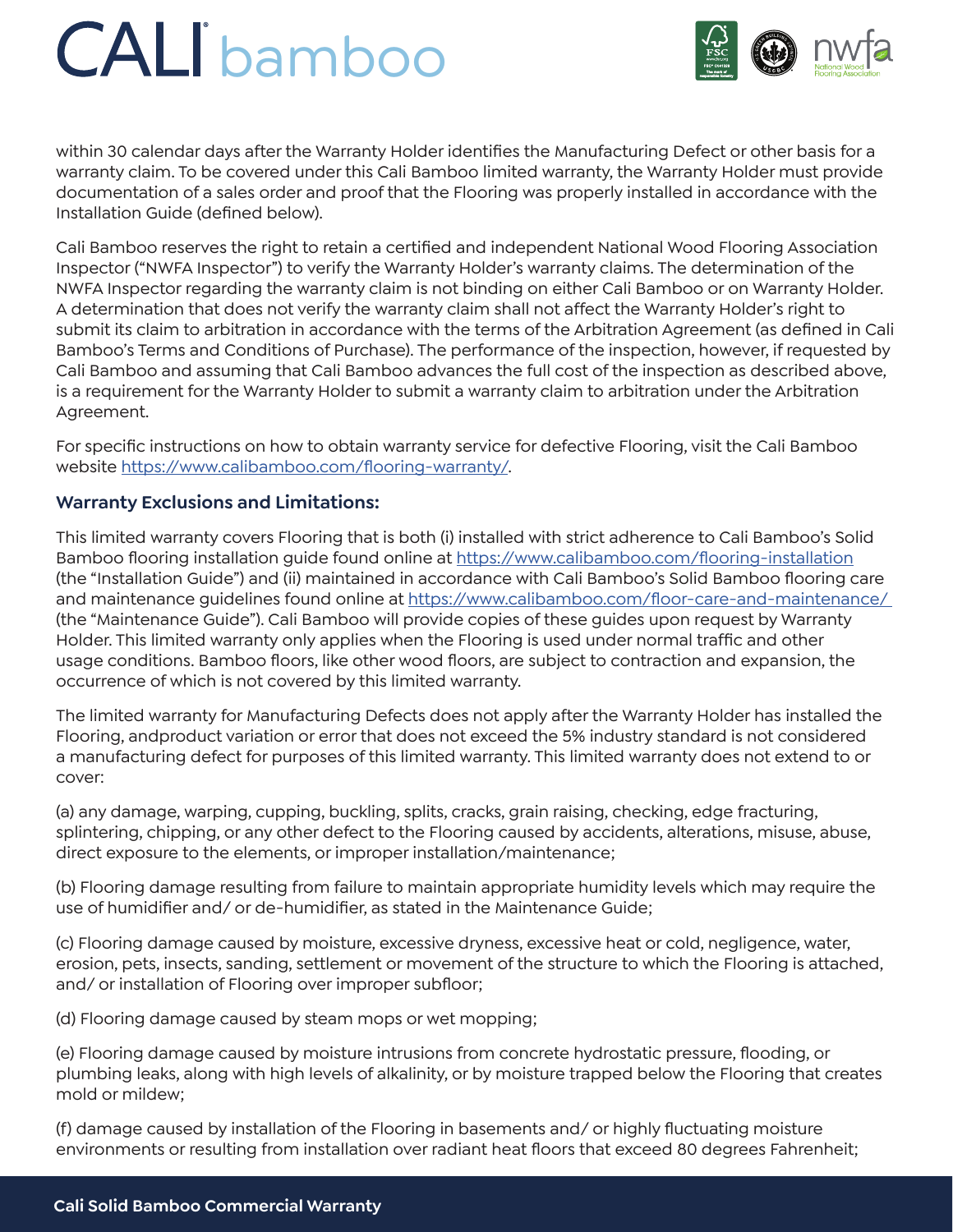# CALI bamboo



within 30 calendar days after the Warranty Holder identifies the Manufacturing Defect or other basis for a warranty claim. To be covered under this Cali Bamboo limited warranty, the Warranty Holder must provide documentation of a sales order and proof that the Flooring was properly installed in accordance with the Installation Guide (defined below).

Cali Bamboo reserves the right to retain a certified and independent National Wood Flooring Association Inspector ("NWFA Inspector") to verify the Warranty Holder's warranty claims. The determination of the NWFA Inspector regarding the warranty claim is not binding on either Cali Bamboo or on Warranty Holder. A determination that does not verify the warranty claim shall not affect the Warranty Holder's right to submit its claim to arbitration in accordance with the terms of the Arbitration Agreement (as defined in Cali Bamboo's Terms and Conditions of Purchase). The performance of the inspection, however, if requested by Cali Bamboo and assuming that Cali Bamboo advances the full cost of the inspection as described above, is a requirement for the Warranty Holder to submit a warranty claim to arbitration under the Arbitration Agreement.

For specific instructions on how to obtain warranty service for defective Flooring, visit the Cali Bamboo website https://www.calibamboo.com/flooring-warranty/.

#### **Warranty Exclusions and Limitations:**

This limited warranty covers Flooring that is both (i) installed with strict adherence to Cali Bamboo's Solid Bamboo flooring installation guide found online at https://www.calibamboo.com/flooring-installation (the "Installation Guide") and (ii) maintained in accordance with Cali Bamboo's Solid Bamboo flooring care and maintenance guidelines found online at https://www.calibamboo.com/floor-care-and-maintenance/ (the "Maintenance Guide"). Cali Bamboo will provide copies of these guides upon request by Warranty Holder. This limited warranty only applies when the Flooring is used under normal traffic and other usage conditions. Bamboo floors, like other wood floors, are subject to contraction and expansion, the occurrence of which is not covered by this limited warranty.

The limited warranty for Manufacturing Defects does not apply after the Warranty Holder has installed the Flooring, andproduct variation or error that does not exceed the 5% industry standard is not considered a manufacturing defect for purposes of this limited warranty. This limited warranty does not extend to or cover:

(a) any damage, warping, cupping, buckling, splits, cracks, grain raising, checking, edge fracturing, splintering, chipping, or any other defect to the Flooring caused by accidents, alterations, misuse, abuse, direct exposure to the elements, or improper installation/maintenance;

(b) Flooring damage resulting from failure to maintain appropriate humidity levels which may require the use of humidifier and/ or de-humidifier, as stated in the Maintenance Guide;

(c) Flooring damage caused by moisture, excessive dryness, excessive heat or cold, negligence, water, erosion, pets, insects, sanding, settlement or movement of the structure to which the Flooring is attached, and/ or installation of Flooring over improper subfloor;

(d) Flooring damage caused by steam mops or wet mopping;

(e) Flooring damage caused by moisture intrusions from concrete hydrostatic pressure, flooding, or plumbing leaks, along with high levels of alkalinity, or by moisture trapped below the Flooring that creates mold or mildew;

(f) damage caused by installation of the Flooring in basements and/ or highly fluctuating moisture environments or resulting from installation over radiant heat floors that exceed 80 degrees Fahrenheit;